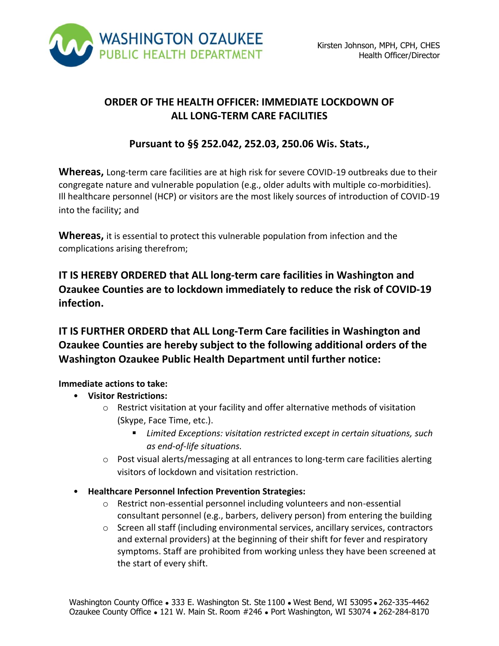

# **ORDER OF THE HEALTH OFFICER: IMMEDIATE LOCKDOWN OF ALL LONG-TERM CARE FACILITIES**

# **Pursuant to §§ 252.042, 252.03, 250.06 Wis. Stats.,**

**Whereas,** Long-term care facilities are at high risk for severe COVID-19 outbreaks due to their congregate nature and vulnerable population (e.g., older adults with multiple co-morbidities). Ill healthcare personnel (HCP) or visitors are the most likely sources of introduction of COVID-19 into the facility; and

**Whereas,** it is essential to protect this vulnerable population from infection and the complications arising therefrom;

**IT IS HEREBY ORDERED that ALL long-term care facilities in Washington and Ozaukee Counties are to lockdown immediately to reduce the risk of COVID-19 infection.**

**IT IS FURTHER ORDERD that ALL Long-Term Care facilities in Washington and Ozaukee Counties are hereby subject to the following additional orders of the Washington Ozaukee Public Health Department until further notice:**

#### **Immediate actions to take:**

- **Visitor Restrictions:** 
	- o Restrict visitation at your facility and offer alternative methods of visitation (Skype, Face Time, etc.).
		- *Limited Exceptions: visitation restricted except in certain situations, such as end-of-life situations.*
	- o Post visual alerts/messaging at all entrances to long-term care facilities alerting visitors of lockdown and visitation restriction.
- **Healthcare Personnel Infection Prevention Strategies:** 
	- o Restrict non-essential personnel including volunteers and non-essential consultant personnel (e.g., barbers, delivery person) from entering the building
	- $\circ$  Screen all staff (including environmental services, ancillary services, contractors and external providers) at the beginning of their shift for fever and respiratory symptoms. Staff are prohibited from working unless they have been screened at the start of every shift.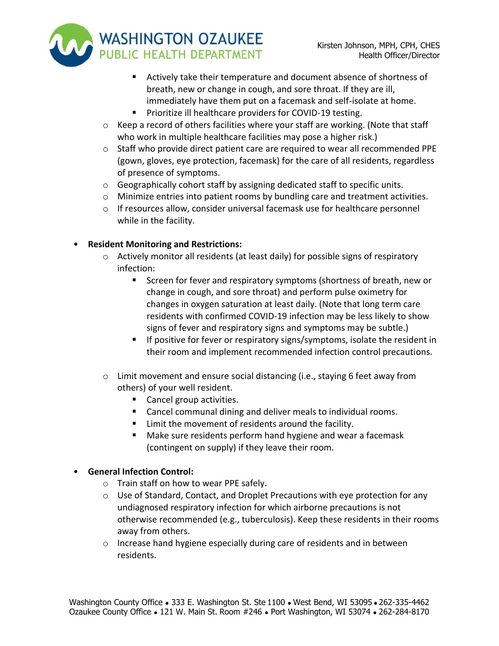- **WASHINGTON OZAUKEE** PUBLIC HEALTH DEPARTMENT
	- Actively take their temperature and document absence of shortness of breath, new or change in cough, and sore throat. If they are ill, immediately have them put on a facemask and self-isolate at home.
	- **Prioritize ill healthcare providers for COVID-19 testing.**
	- $\circ$  Keep a record of others facilities where your staff are working. (Note that staff who work in multiple healthcare facilities may pose a higher risk.)
	- $\circ$  Staff who provide direct patient care are required to wear all recommended PPE (gown, gloves, eye protection, facemask) for the care of all residents, regardless of presence of symptoms.
	- o Geographically cohort staff by assigning dedicated staff to specific units.
	- o Minimize entries into patient rooms by bundling care and treatment activities.
	- $\circ$  If resources allow, consider universal facemask use for healthcare personnel while in the facility.

## • **Resident Monitoring and Restrictions:**

- $\circ$  Actively monitor all residents (at least daily) for possible signs of respiratory infection:
	- Screen for fever and respiratory symptoms (shortness of breath, new or change in cough, and sore throat) and perform pulse oximetry for changes in oxygen saturation at least daily. (Note that long term care residents with confirmed COVID-19 infection may be less likely to show signs of fever and respiratory signs and symptoms may be subtle.)
	- **If positive for fever or respiratory signs/symptoms, isolate the resident in** their room and implement recommended infection control precautions.
- o Limit movement and ensure social distancing (i.e., staying 6 feet away from others) of your well resident.
	- Cancel group activities.
	- Cancel communal dining and deliver meals to individual rooms.
	- Limit the movement of residents around the facility.
	- Make sure residents perform hand hygiene and wear a facemask (contingent on supply) if they leave their room.

### • **General Infection Control:**

- o Train staff on how to wear PPE safely.
- $\circ$  Use of Standard, Contact, and Droplet Precautions with eye protection for any undiagnosed respiratory infection for which airborne precautions is not otherwise recommended (e.g., tuberculosis). Keep these residents in their rooms away from others.
- $\circ$  Increase hand hygiene especially during care of residents and in between residents.